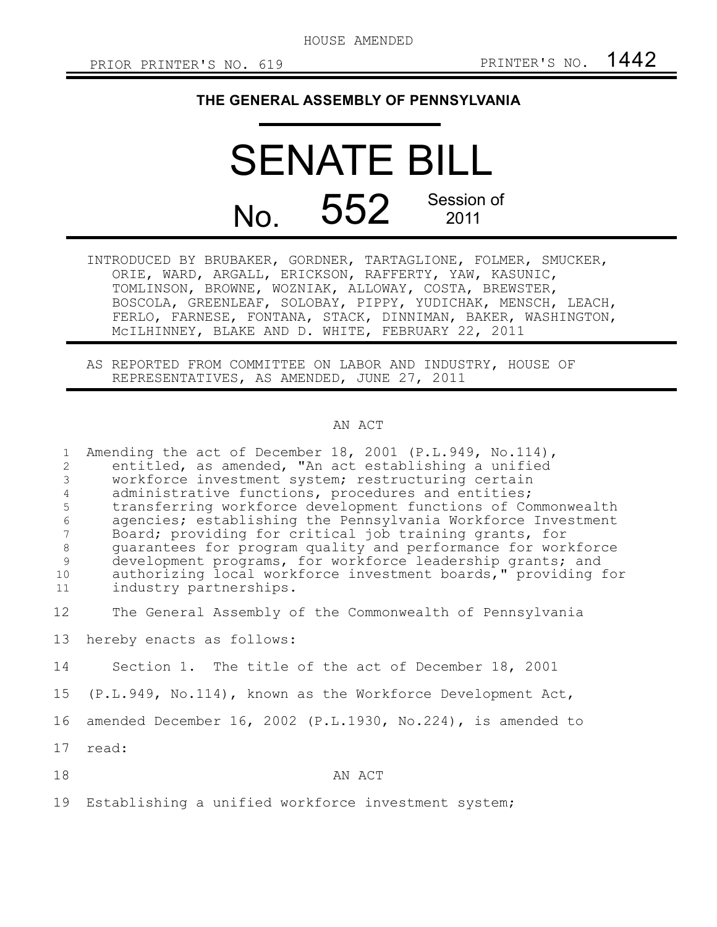## **THE GENERAL ASSEMBLY OF PENNSYLVANIA**

## SENATE BILL No. 552 Session of 2011

INTRODUCED BY BRUBAKER, GORDNER, TARTAGLIONE, FOLMER, SMUCKER, ORIE, WARD, ARGALL, ERICKSON, RAFFERTY, YAW, KASUNIC, TOMLINSON, BROWNE, WOZNIAK, ALLOWAY, COSTA, BREWSTER, BOSCOLA, GREENLEAF, SOLOBAY, PIPPY, YUDICHAK, MENSCH, LEACH, FERLO, FARNESE, FONTANA, STACK, DINNIMAN, BAKER, WASHINGTON, McILHINNEY, BLAKE AND D. WHITE, FEBRUARY 22, 2011

AS REPORTED FROM COMMITTEE ON LABOR AND INDUSTRY, HOUSE OF REPRESENTATIVES, AS AMENDED, JUNE 27, 2011

## AN ACT

| $\mathbf{1}$<br>$\overline{c}$<br>$\mathfrak{Z}$<br>$\overline{4}$<br>5<br>$\epsilon$<br>$7\phantom{.0}$<br>$\,8\,$<br>9<br>10<br>11 | Amending the act of December 18, 2001 (P.L.949, No.114),<br>entitled, as amended, "An act establishing a unified<br>workforce investment system; restructuring certain<br>administrative functions, procedures and entities;<br>transferring workforce development functions of Commonwealth<br>agencies; establishing the Pennsylvania Workforce Investment<br>Board; providing for critical job training grants, for<br>quarantees for program quality and performance for workforce<br>development programs, for workforce leadership grants; and<br>authorizing local workforce investment boards," providing for<br>industry partnerships. |
|--------------------------------------------------------------------------------------------------------------------------------------|-------------------------------------------------------------------------------------------------------------------------------------------------------------------------------------------------------------------------------------------------------------------------------------------------------------------------------------------------------------------------------------------------------------------------------------------------------------------------------------------------------------------------------------------------------------------------------------------------------------------------------------------------|
|                                                                                                                                      |                                                                                                                                                                                                                                                                                                                                                                                                                                                                                                                                                                                                                                                 |
| 12                                                                                                                                   | The General Assembly of the Commonwealth of Pennsylvania                                                                                                                                                                                                                                                                                                                                                                                                                                                                                                                                                                                        |
| 13                                                                                                                                   | hereby enacts as follows:                                                                                                                                                                                                                                                                                                                                                                                                                                                                                                                                                                                                                       |
| 14                                                                                                                                   | Section 1. The title of the act of December 18, 2001                                                                                                                                                                                                                                                                                                                                                                                                                                                                                                                                                                                            |
| 15                                                                                                                                   | (P.L.949, No.114), known as the Workforce Development Act,                                                                                                                                                                                                                                                                                                                                                                                                                                                                                                                                                                                      |
| 16                                                                                                                                   | amended December 16, 2002 (P.L.1930, No.224), is amended to                                                                                                                                                                                                                                                                                                                                                                                                                                                                                                                                                                                     |
| 17                                                                                                                                   | read:                                                                                                                                                                                                                                                                                                                                                                                                                                                                                                                                                                                                                                           |
| 18                                                                                                                                   | AN ACT                                                                                                                                                                                                                                                                                                                                                                                                                                                                                                                                                                                                                                          |
| 19                                                                                                                                   | Establishing a unified workforce investment system;                                                                                                                                                                                                                                                                                                                                                                                                                                                                                                                                                                                             |
|                                                                                                                                      |                                                                                                                                                                                                                                                                                                                                                                                                                                                                                                                                                                                                                                                 |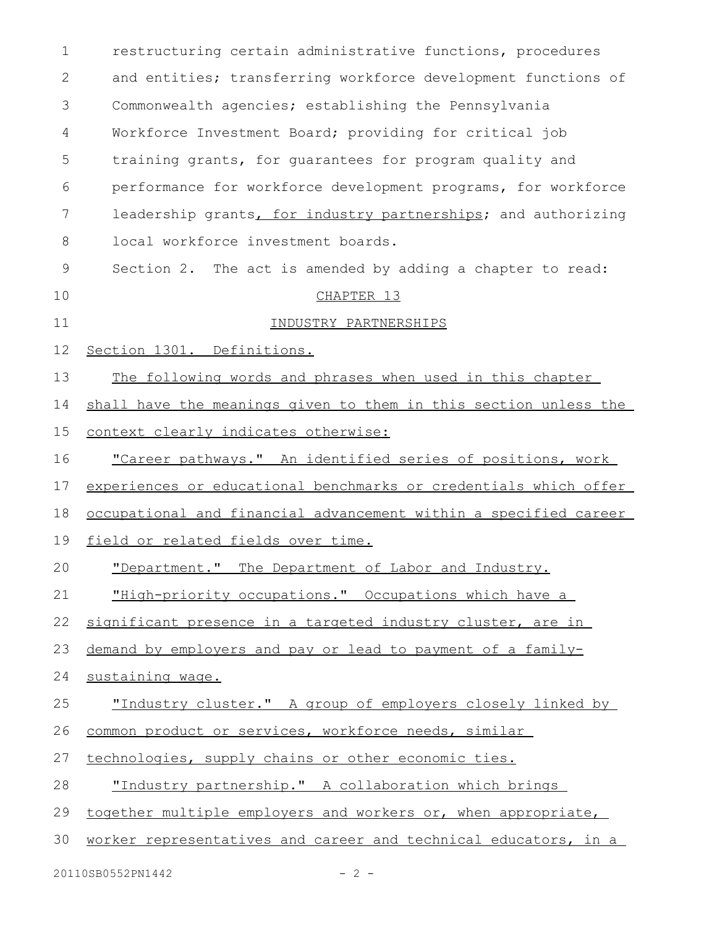| 1  | restructuring certain administrative functions, procedures       |
|----|------------------------------------------------------------------|
| 2  | and entities; transferring workforce development functions of    |
| 3  | Commonwealth agencies; establishing the Pennsylvania             |
| 4  | Workforce Investment Board; providing for critical job           |
| 5  | training grants, for guarantees for program quality and          |
| 6  | performance for workforce development programs, for workforce    |
| 7  | leadership grants, for industry partnerships; and authorizing    |
| 8  | local workforce investment boards.                               |
| 9  | Section 2. The act is amended by adding a chapter to read:       |
| 10 | CHAPTER 13                                                       |
| 11 | INDUSTRY PARTNERSHIPS                                            |
| 12 | Section 1301. Definitions.                                       |
| 13 | The following words and phrases when used in this chapter        |
| 14 | shall have the meanings given to them in this section unless the |
| 15 | context clearly indicates otherwise:                             |
| 16 | "Career pathways." An identified series of positions, work       |
| 17 | experiences or educational benchmarks or credentials which offer |
| 18 | occupational and financial advancement within a specified career |
| 19 | field or related fields over time.                               |
| 20 | "Department." The Department of Labor and Industry.              |
| 21 | "High-priority occupations." Occupations which have a            |
| 22 | significant presence in a targeted industry cluster, are in      |
| 23 | demand by employers and pay or lead to payment of a family-      |
| 24 | sustaining wage.                                                 |
| 25 | "Industry cluster." A group of employers closely linked by       |
| 26 | common product or services, workforce needs, similar             |
| 27 | technologies, supply chains or other economic ties.              |
| 28 | "Industry partnership." A collaboration which brings             |
| 29 | together multiple employers and workers or, when appropriate,    |
| 30 | worker representatives and career and technical educators, in a  |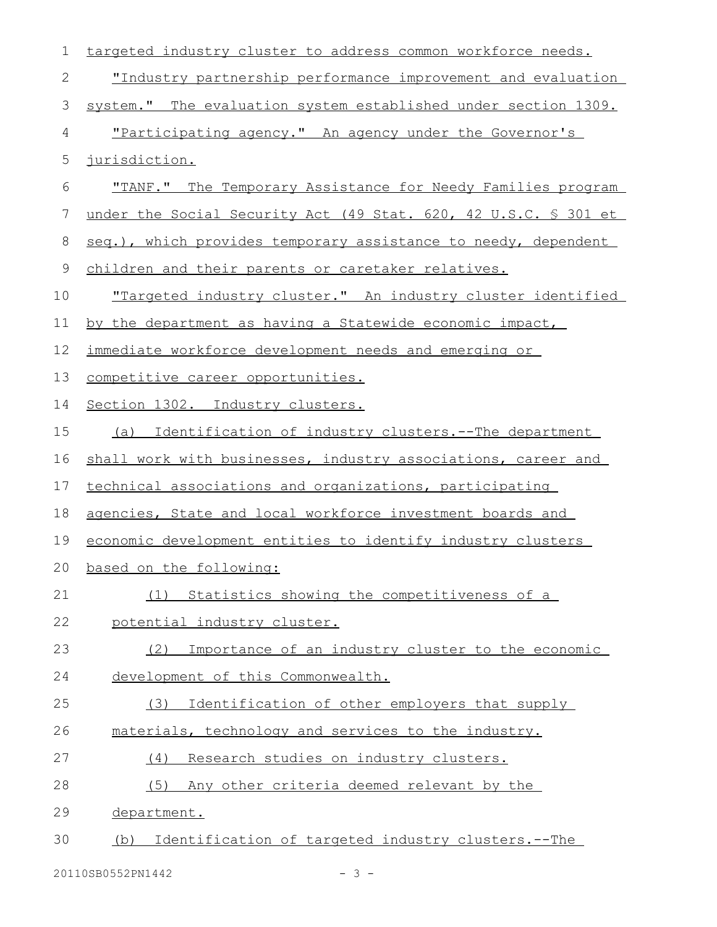| 1  | targeted industry cluster to address common workforce needs.        |
|----|---------------------------------------------------------------------|
| 2  | <u>"Industry partnership performance improvement and evaluation</u> |
| 3  | system." The evaluation system established under section 1309.      |
| 4  | "Participating agency." An agency under the Governor's              |
| 5  | jurisdiction.                                                       |
| 6  | "TANF." The Temporary Assistance for Needy Families program         |
| 7  | under the Social Security Act (49 Stat. 620, 42 U.S.C. § 301 et     |
| 8  | seq.), which provides temporary assistance to needy, dependent      |
| 9  | children and their parents or caretaker relatives.                  |
| 10 | <u>"Targeted industry cluster." An industry cluster identified</u>  |
| 11 | by the department as having a Statewide economic impact,            |
| 12 | immediate workforce development needs and emerging or               |
| 13 | competitive career opportunities.                                   |
| 14 | Section 1302. Industry clusters.                                    |
| 15 | Identification of industry clusters.--The department<br>(a)         |
| 16 | shall work with businesses, industry associations, career and       |
| 17 | technical associations and organizations, participating             |
| 18 | agencies, State and local workforce investment boards and           |
| 19 | economic development entities to identify industry clusters         |
| 20 | based on the following:                                             |
| 21 | (1) Statistics showing the competitiveness of a                     |
| 22 | potential industry cluster.                                         |
| 23 | Importance of an industry cluster to the economic<br>(2)            |
| 24 | development of this Commonwealth.                                   |
| 25 | Identification of other employers that supply<br>(3)                |
| 26 | materials, technology and services to the industry.                 |
| 27 | Research studies on industry clusters.<br>(4)                       |
| 28 | (5)<br>Any other criteria deemed relevant by the                    |
| 29 | department.                                                         |
| 30 | Identification of targeted industry clusters.--The<br>(b)           |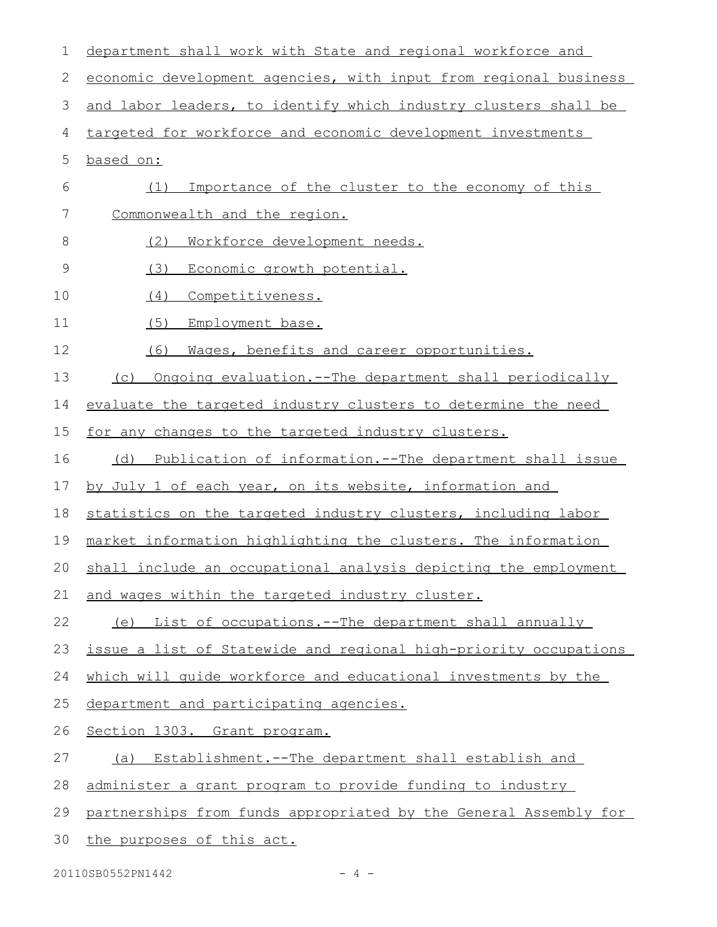| 1  | department shall work with State and regional workforce and        |
|----|--------------------------------------------------------------------|
| 2  | economic development agencies, with input from regional business   |
| 3  | and labor leaders, to identify which industry clusters shall be    |
| 4  | targeted for workforce and economic development investments        |
| 5  | based on:                                                          |
| 6  | Importance of the cluster to the economy of this<br>(1)            |
| 7  | Commonwealth and the region.                                       |
| 8  | (2)<br>Workforce development needs.                                |
| 9  | (3)<br>Economic growth potential.                                  |
| 10 | (4)<br>Competitiveness.                                            |
| 11 | (5)<br>Employment base.                                            |
| 12 | (6)<br>Mages, benefits and career opportunities.                   |
| 13 | Ongoing evaluation.--The department shall periodically<br>(C)      |
| 14 | evaluate the targeted industry clusters to determine the need      |
| 15 | for any changes to the targeted industry clusters.                 |
| 16 | Publication of information.--The department shall issue<br>(d)     |
| 17 | by July 1 of each year, on its website, information and            |
| 18 | statistics on the targeted industry clusters, including labor      |
| 19 | market information highlighting the clusters. The information      |
|    | 20 shall include an occupational analysis depicting the employment |
| 21 | and wages within the targeted industry cluster.                    |
| 22 | (e) List of occupations.--The department shall annually            |
| 23 | issue a list of Statewide and regional high-priority occupations   |
| 24 | which will quide workforce and educational investments by the      |
| 25 | department and participating agencies.                             |
| 26 | Section 1303. Grant program.                                       |
| 27 | Establishment.--The department shall establish and<br>(a)          |
| 28 | administer a grant program to provide funding to industry          |
| 29 | partnerships from funds appropriated by the General Assembly for   |
| 30 | the purposes of this act.                                          |

20110SB0552PN1442 - 4 -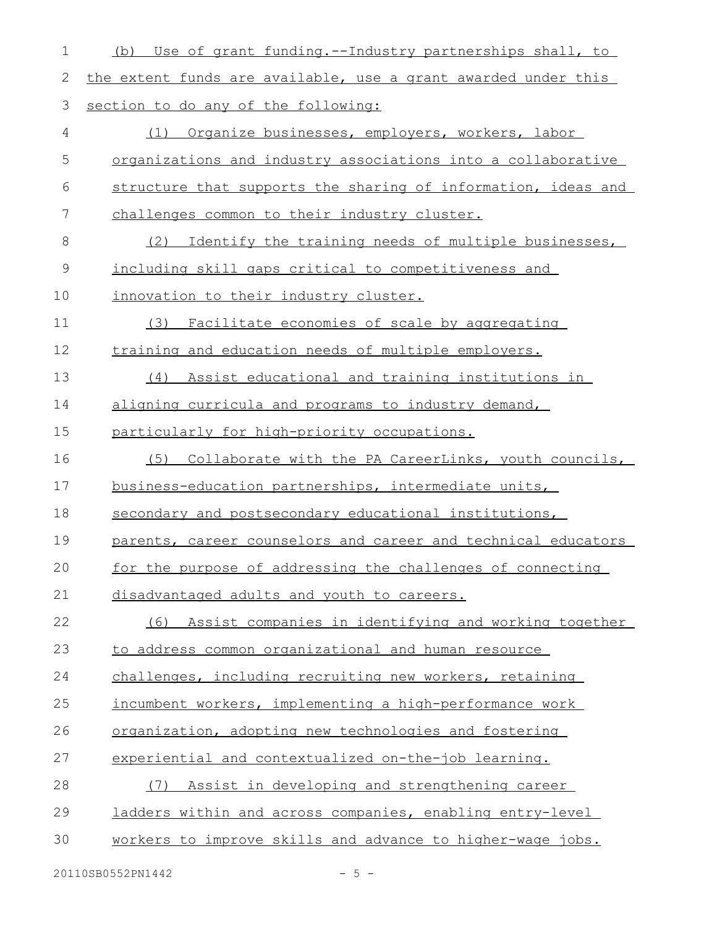| $\mathbf 1$ | Use of grant funding.--Industry partnerships shall, to<br>(b)  |
|-------------|----------------------------------------------------------------|
| 2           | the extent funds are available, use a grant awarded under this |
| 3           | section to do any of the following:                            |
| 4           | Organize businesses, employers, workers, labor<br>(1)          |
| 5           | organizations and industry associations into a collaborative   |
| 6           | structure that supports the sharing of information, ideas and  |
| 7           | challenges common to their industry cluster.                   |
| 8           | Identify the training needs of multiple businesses,<br>(2)     |
| $\mathsf 9$ | including skill gaps critical to competitiveness and           |
| 10          | innovation to their industry cluster.                          |
| 11          | Facilitate economies of scale by aggregating<br>(3)            |
| 12          | training and education needs of multiple employers.            |
| 13          | Assist educational and training institutions in<br>(4)         |
| 14          | aligning curricula and programs to industry demand,            |
| 15          | particularly for high-priority occupations.                    |
| 16          | Collaborate with the PA CareerLinks, youth councils,<br>(5)    |
| 17          | business-education partnerships, intermediate units,           |
| 18          | secondary and postsecondary educational institutions,          |
| 19          | parents, career counselors and career and technical educators  |
| 20          | for the purpose of addressing the challenges of connecting     |
| 21          | disadvantaged adults and youth to careers.                     |
| 22          | Assist companies in identifying and working together<br>(6)    |
| 23          | to address common organizational and human resource            |
| 24          | challenges, including recruiting new workers, retaining        |
| 25          | incumbent workers, implementing a high-performance work        |
| 26          | organization, adopting new technologies and fostering          |
| 27          | experiential and contextualized on-the-job learning.           |
| 28          | Assist in developing and strengthening career<br>(7)           |
| 29          | ladders within and across companies, enabling entry-level      |
| 30          | workers to improve skills and advance to higher-wage jobs.     |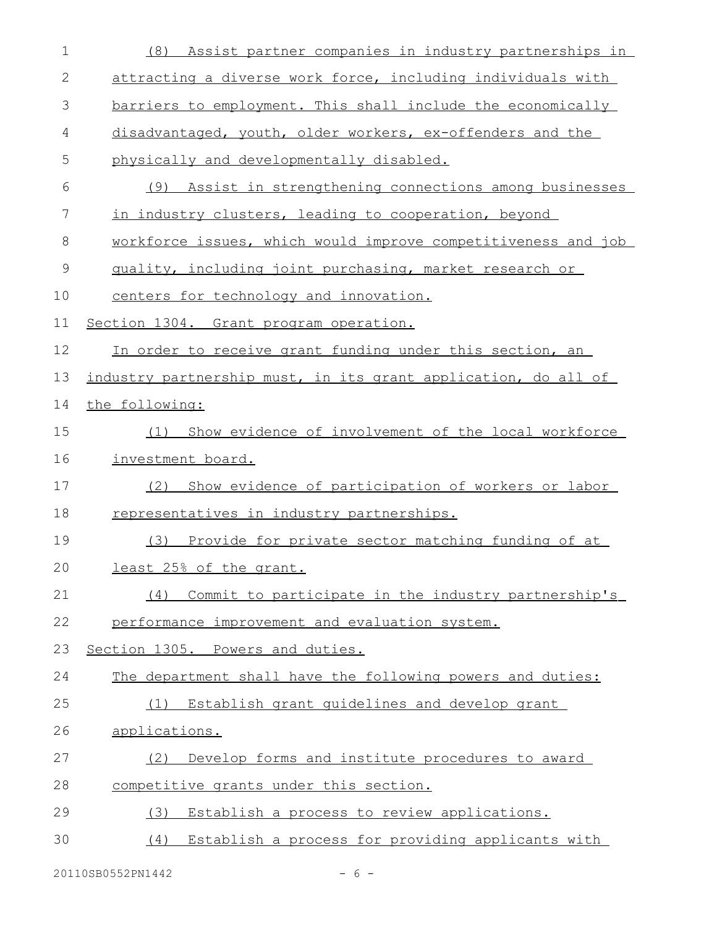| $\mathbf 1$ | Assist partner companies in industry partnerships in<br>(8)    |
|-------------|----------------------------------------------------------------|
| 2           | attracting a diverse work force, including individuals with    |
| 3           | barriers to employment. This shall include the economically    |
| 4           | disadvantaged, youth, older workers, ex-offenders and the      |
| 5           | physically and developmentally disabled.                       |
| 6           | (9) Assist in strengthening connections among businesses       |
| 7           | in industry clusters, leading to cooperation, beyond           |
| 8           | workforce issues, which would improve competitiveness and job  |
| $\mathsf 9$ | quality, including joint purchasing, market research or        |
| 10          | centers for technology and innovation.                         |
| 11          | Section 1304. Grant program operation.                         |
| 12          | In order to receive grant funding under this section, an       |
| 13          | industry partnership must, in its grant application, do all of |
| 14          | the following:                                                 |
| 15          | Show evidence of involvement of the local workforce<br>(1)     |
| 16          | investment board.                                              |
| 17          | Show evidence of participation of workers or labor<br>(2)      |
| 18          | representatives in industry partnerships.                      |
| 19          | Provide for private sector matching funding of at<br>(3)       |
| 20          | least 25% of the grant.                                        |
| 21          | Commit to participate in the industry partnership's<br>(4)     |
| 22          | performance improvement and evaluation system.                 |
| 23          | Section 1305. Powers and duties.                               |
| 24          | The department shall have the following powers and duties:     |
| 25          | Establish grant quidelines and develop grant<br>(1)            |
| 26          | applications.                                                  |
| 27          | Develop forms and institute procedures to award<br>(2)         |
| 28          | competitive grants under this section.                         |
| 29          | Establish a process to review applications.<br>(3)             |
| 30          | (4) Establish a process for providing applicants with          |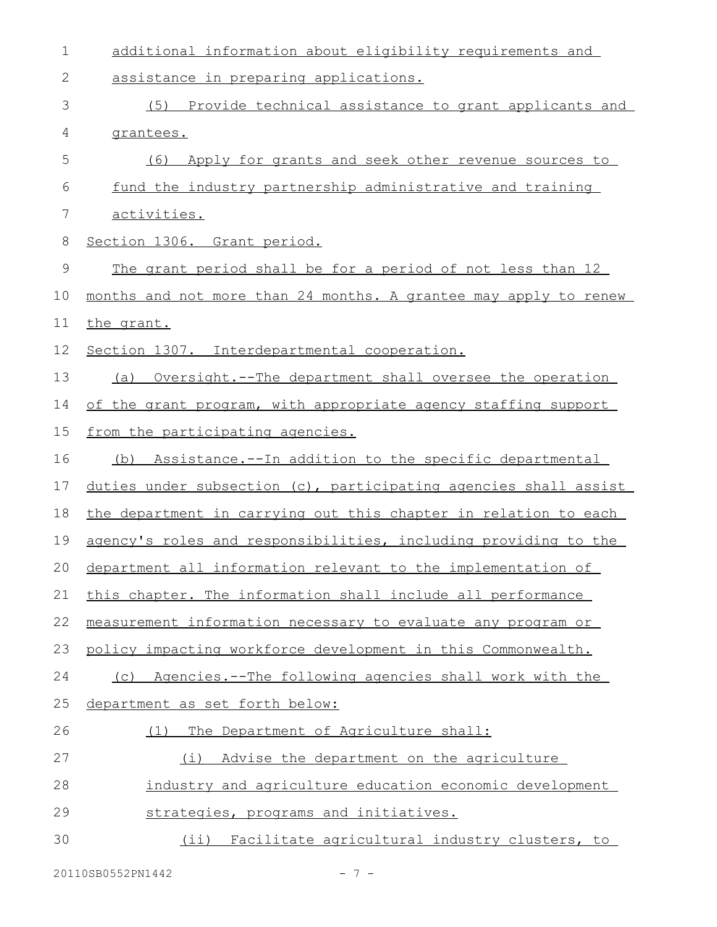| $\mathbf 1$   | additional information about eligibility requirements and        |
|---------------|------------------------------------------------------------------|
| 2             | assistance in preparing applications.                            |
| 3             | (5) Provide technical assistance to grant applicants and         |
| 4             | grantees.                                                        |
| 5             | Apply for grants and seek other revenue sources to<br>(6)        |
| 6             | fund the industry partnership administrative and training        |
| 7             | activities.                                                      |
| 8             | Section 1306. Grant period.                                      |
| $\mathcal{G}$ | The grant period shall be for a period of not less than 12       |
| 10            | months and not more than 24 months. A grantee may apply to renew |
| 11            | the grant.                                                       |
| 12            | Section 1307. Interdepartmental cooperation.                     |
| 13            | (a) Oversight.--The department shall oversee the operation       |
| 14            | of the grant program, with appropriate agency staffing support   |
| 15            | from the participating agencies.                                 |
| 16            | (b) Assistance.--In addition to the specific departmental        |
| 17            | duties under subsection (c), participating agencies shall assist |
| 18            | the department in carrying out this chapter in relation to each  |
| 19            | agency's roles and responsibilities, including providing to the  |
|               | 20 department all information relevant to the implementation of  |
| 21            | this chapter. The information shall include all performance      |
| 22            | measurement information necessary to evaluate any program or     |
| 23            | policy impacting workforce development in this Commonwealth.     |
| 24            | (c) Agencies.--The following agencies shall work with the        |
| 25            | department as set forth below:                                   |
| 26            | (1) The Department of Agriculture shall:                         |
| 27            | Advise the department on the agriculture<br>(i)                  |
| 28            | industry and agriculture education economic development          |
| 29            | strategies, programs and initiatives.                            |
| 30            | (ii) Facilitate agricultural industry clusters, to               |
|               |                                                                  |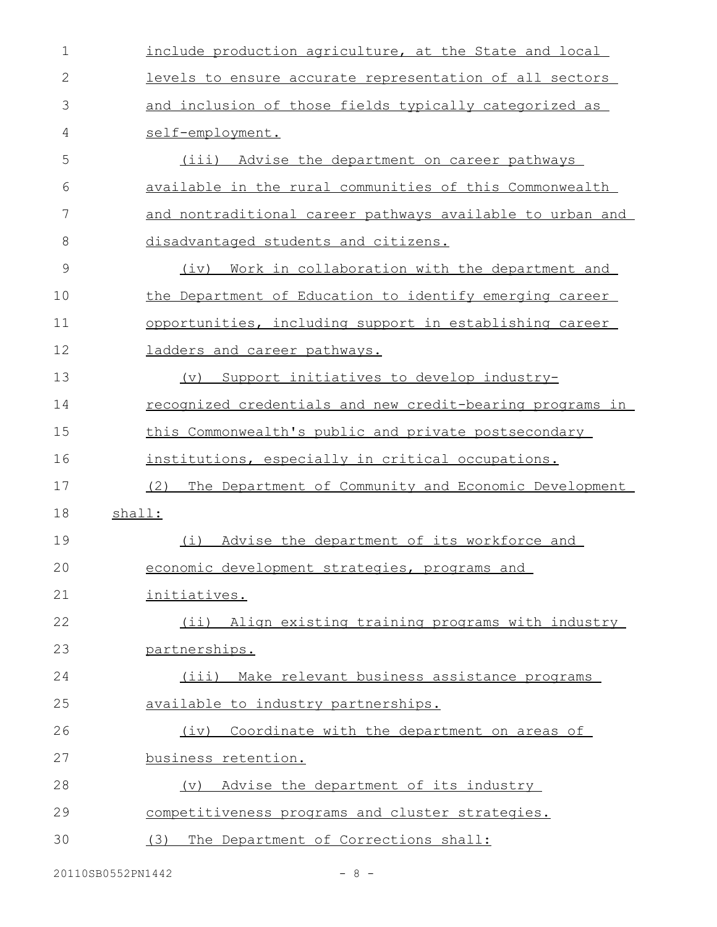| $\mathbf 1$ | include production agriculture, at the State and local      |
|-------------|-------------------------------------------------------------|
| 2           | levels to ensure accurate representation of all sectors     |
| 3           | and inclusion of those fields typically categorized as      |
| 4           | self-employment.                                            |
| 5           | (iii) Advise the department on career pathways              |
| 6           | available in the rural communities of this Commonwealth     |
| 7           | and nontraditional career pathways available to urban and   |
| 8           | disadvantaged students and citizens.                        |
| 9           | Work in collaboration with the department and<br>(iv)       |
| 10          | the Department of Education to identify emerging career     |
| 11          | opportunities, including support in establishing career     |
| 12          | ladders and career pathways.                                |
| 13          | Support initiatives to develop industry-<br>(v)             |
| 14          | recognized credentials and new credit-bearing programs in   |
| 15          | this Commonwealth's public and private postsecondary        |
| 16          | institutions, especially in critical occupations.           |
| 17          | (2)<br>The Department of Community and Economic Development |
| 18          | shall:                                                      |
| 19          | (i)<br>Advise the department of its workforce and           |
| 20          | economic development strategies, programs and               |
| 21          | initiatives.                                                |
| 22          | (ii) Align existing training programs with industry         |
| 23          | partnerships.                                               |
| 24          | Make relevant business assistance programs<br>$(i$ iii)     |
| 25          | available to industry partnerships.                         |
| 26          | Coordinate with the department on areas of<br>(iv)          |
| 27          | business retention.                                         |
| 28          | Advise the department of its industry<br>$(\triangledown)$  |
| 29          | competitiveness programs and cluster strategies.            |
| 30          | (3)<br>The Department of Corrections shall:                 |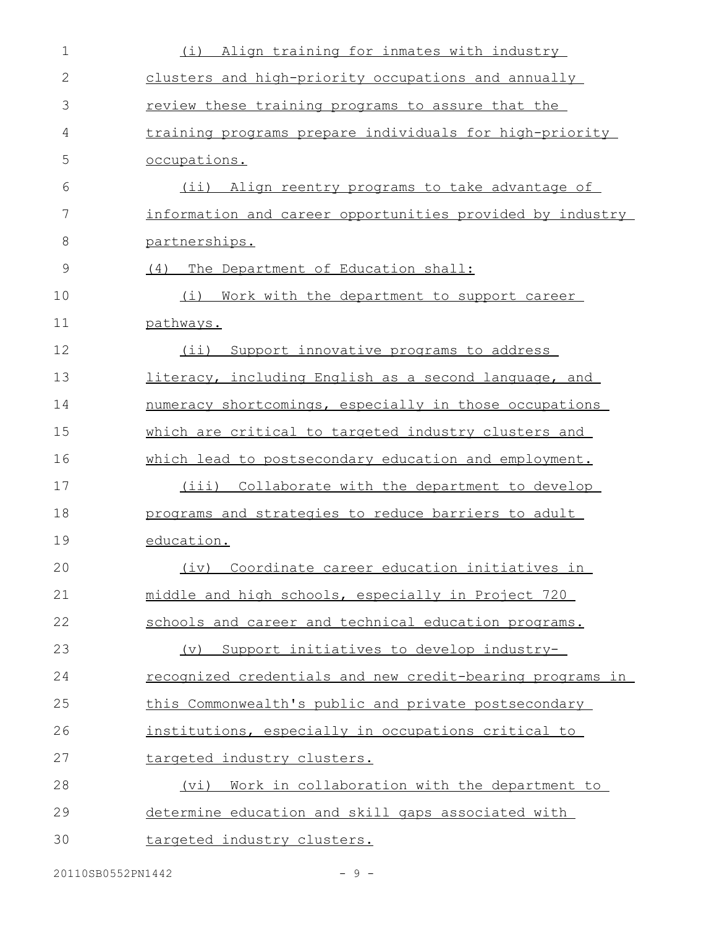| 1             | Align training for inmates with industry<br>(i)               |
|---------------|---------------------------------------------------------------|
| $\mathbf{2}$  | clusters and high-priority occupations and annually           |
| 3             | review these training programs to assure that the             |
| 4             | training programs prepare individuals for high-priority       |
| 5             | occupations.                                                  |
| 6             | (ii) Align reentry programs to take advantage of              |
| 7             | information and career opportunities provided by industry     |
| 8             | partnerships.                                                 |
| $\mathcal{G}$ | (4)<br>The Department of Education shall:                     |
| 10            | (i)<br>Work with the department to support career             |
| 11            | pathways.                                                     |
| 12            | $(i$ ii)<br>Support innovative programs to address            |
| 13            | literacy, including English as a second language, and         |
| 14            | numeracy shortcomings, especially in those occupations        |
| 15            | which are critical to targeted industry clusters and          |
| 16            | which lead to postsecondary education and employment.         |
| 17            | (iii) Collaborate with the department to develop              |
| 18            | programs and strategies to reduce barriers to adult           |
| 19            | education.                                                    |
| 20            | (iv) Coordinate career education initiatives in               |
| 21            | middle and high schools, especially in Project 720            |
| 22            | schools and career and technical education programs.          |
| 23            | Support initiatives to develop industry-<br>$(\triangledown)$ |
| 24            | recognized credentials and new credit-bearing programs in     |
| 25            | this Commonwealth's public and private postsecondary          |
| 26            | institutions, especially in occupations critical to           |
| 27            | targeted industry clusters.                                   |
| 28            | Work in collaboration with the department to<br>(vi)          |
| 29            | determine education and skill gaps associated with            |
| 30            | targeted industry clusters.                                   |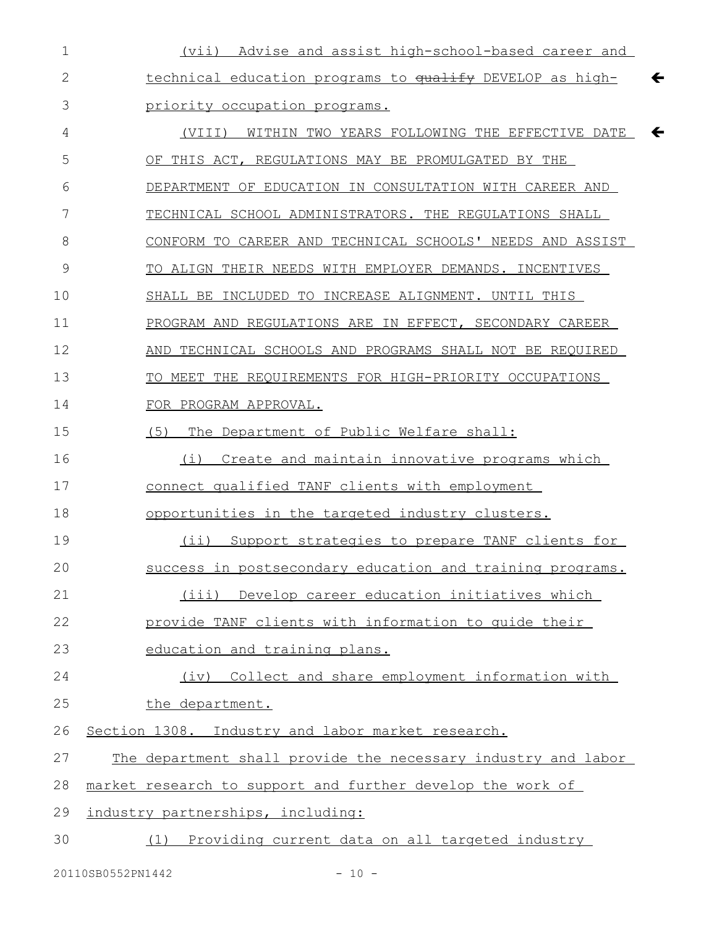| $\mathbf 1$ | (vii) Advise and assist high-school-based career and                     |
|-------------|--------------------------------------------------------------------------|
| 2           | $\leftarrow$<br>technical education programs to qualify DEVELOP as high- |
| 3           | priority occupation programs.                                            |
| 4           | (VIII) WITHIN TWO YEARS FOLLOWING THE EFFECTIVE DATE<br>$\leftarrow$     |
| 5           | OF THIS ACT, REGULATIONS MAY BE PROMULGATED BY THE                       |
| 6           | DEPARTMENT OF EDUCATION IN CONSULTATION WITH CAREER AND                  |
| 7           | TECHNICAL SCHOOL ADMINISTRATORS. THE REGULATIONS SHALL                   |
| 8           | CONFORM TO CAREER AND TECHNICAL SCHOOLS' NEEDS AND ASSIST                |
| 9           | TO ALIGN THEIR NEEDS WITH EMPLOYER DEMANDS. INCENTIVES                   |
| 10          | SHALL BE INCLUDED TO INCREASE ALIGNMENT. UNTIL THIS                      |
| 11          | PROGRAM AND REGULATIONS ARE IN EFFECT, SECONDARY CAREER                  |
| 12          | AND TECHNICAL SCHOOLS AND PROGRAMS SHALL NOT BE REQUIRED                 |
| 13          | TO MEET THE REQUIREMENTS FOR HIGH-PRIORITY OCCUPATIONS                   |
| 14          | FOR PROGRAM APPROVAL.                                                    |
| 15          | (5)<br>The Department of Public Welfare shall:                           |
| 16          | Create and maintain innovative programs which<br>(i)                     |
| 17          | connect qualified TANF clients with employment                           |
| 18          | opportunities in the targeted industry clusters.                         |
| 19          | (ii) Support strategies to prepare TANF clients for                      |
| 20          | success in postsecondary education and training programs.                |
| 21          | (iii) Develop career education initiatives which                         |
| 22          | provide TANF clients with information to quide their                     |
| 23          | education and training plans.                                            |
| 24          | Collect and share employment information with<br>(iv)                    |
| 25          | the department.                                                          |
| 26          | Section 1308. Industry and labor market research.                        |
| 27          | The department shall provide the necessary industry and labor            |
| 28          | market research to support and further develop the work of               |
| 29          | industry partnerships, including:                                        |
| 30          | (1) Providing current data on all targeted industry                      |